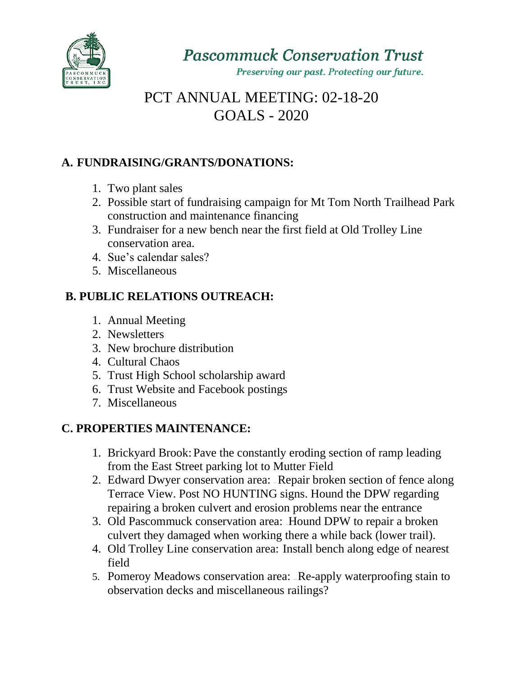

Preserving our past. Protecting our future.

# PCT ANNUAL MEETING: 02-18-20 GOALS - 2020

### **A. FUNDRAISING/GRANTS/DONATIONS:**

- 1. Two plant sales
- 2. Possible start of fundraising campaign for Mt Tom North Trailhead Park construction and maintenance financing
- 3. Fundraiser for a new bench near the first field at Old Trolley Line conservation area.
- 4. Sue's calendar sales?
- 5. Miscellaneous

## **B. PUBLIC RELATIONS OUTREACH:**

- 1. Annual Meeting
- 2. Newsletters
- 3. New brochure distribution
- 4. Cultural Chaos
- 5. Trust High School scholarship award
- 6. Trust Website and Facebook postings
- 7. Miscellaneous

# **C. PROPERTIES MAINTENANCE:**

- 1. Brickyard Brook: Pave the constantly eroding section of ramp leading from the East Street parking lot to Mutter Field
- 2. Edward Dwyer conservation area: Repair broken section of fence along Terrace View. Post NO HUNTING signs. Hound the DPW regarding repairing a broken culvert and erosion problems near the entrance
- 3. Old Pascommuck conservation area: Hound DPW to repair a broken culvert they damaged when working there a while back (lower trail).
- 4. Old Trolley Line conservation area: Install bench along edge of nearest field
- 5. Pomeroy Meadows conservation area: Re-apply waterproofing stain to observation decks and miscellaneous railings?